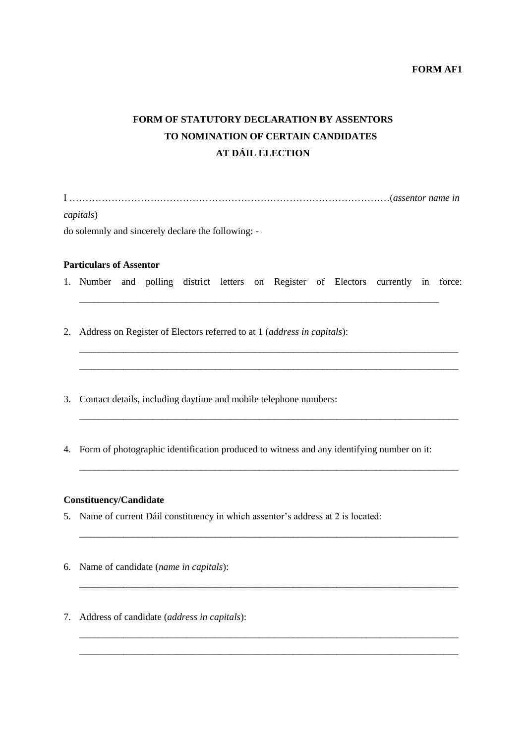#### **FORM AF1**

# **FORM OF STATUTORY DECLARATION BY ASSENTORS TO NOMINATION OF CERTAIN CANDIDATES AT DÁIL ELECTION**

I ………………………………………………………………………………………(*assentor name in* 

*capitals*)

do solemnly and sincerely declare the following: -

## **Particulars of Assentor**

1. Number and polling district letters on Register of Electors currently in force:

\_\_\_\_\_\_\_\_\_\_\_\_\_\_\_\_\_\_\_\_\_\_\_\_\_\_\_\_\_\_\_\_\_\_\_\_\_\_\_\_\_\_\_\_\_\_\_\_\_\_\_\_\_\_\_\_\_\_\_\_\_\_\_\_\_\_\_\_\_\_\_\_\_\_

\_\_\_\_\_\_\_\_\_\_\_\_\_\_\_\_\_\_\_\_\_\_\_\_\_\_\_\_\_\_\_\_\_\_\_\_\_\_\_\_\_\_\_\_\_\_\_\_\_\_\_\_\_\_\_\_\_\_\_\_\_\_\_\_\_\_\_\_\_\_\_\_\_\_\_\_\_\_ \_\_\_\_\_\_\_\_\_\_\_\_\_\_\_\_\_\_\_\_\_\_\_\_\_\_\_\_\_\_\_\_\_\_\_\_\_\_\_\_\_\_\_\_\_\_\_\_\_\_\_\_\_\_\_\_\_\_\_\_\_\_\_\_\_\_\_\_\_\_\_\_\_\_\_\_\_\_

\_\_\_\_\_\_\_\_\_\_\_\_\_\_\_\_\_\_\_\_\_\_\_\_\_\_\_\_\_\_\_\_\_\_\_\_\_\_\_\_\_\_\_\_\_\_\_\_\_\_\_\_\_\_\_\_\_\_\_\_\_\_\_\_\_\_\_\_\_\_\_\_\_\_\_\_\_\_

\_\_\_\_\_\_\_\_\_\_\_\_\_\_\_\_\_\_\_\_\_\_\_\_\_\_\_\_\_\_\_\_\_\_\_\_\_\_\_\_\_\_\_\_\_\_\_\_\_\_\_\_\_\_\_\_\_\_\_\_\_\_\_\_\_\_\_\_\_\_\_\_\_\_\_\_\_\_

\_\_\_\_\_\_\_\_\_\_\_\_\_\_\_\_\_\_\_\_\_\_\_\_\_\_\_\_\_\_\_\_\_\_\_\_\_\_\_\_\_\_\_\_\_\_\_\_\_\_\_\_\_\_\_\_\_\_\_\_\_\_\_\_\_\_\_\_\_\_\_\_\_\_\_\_\_\_

\_\_\_\_\_\_\_\_\_\_\_\_\_\_\_\_\_\_\_\_\_\_\_\_\_\_\_\_\_\_\_\_\_\_\_\_\_\_\_\_\_\_\_\_\_\_\_\_\_\_\_\_\_\_\_\_\_\_\_\_\_\_\_\_\_\_\_\_\_\_\_\_\_\_\_\_\_\_

\_\_\_\_\_\_\_\_\_\_\_\_\_\_\_\_\_\_\_\_\_\_\_\_\_\_\_\_\_\_\_\_\_\_\_\_\_\_\_\_\_\_\_\_\_\_\_\_\_\_\_\_\_\_\_\_\_\_\_\_\_\_\_\_\_\_\_\_\_\_\_\_\_\_\_\_\_\_ \_\_\_\_\_\_\_\_\_\_\_\_\_\_\_\_\_\_\_\_\_\_\_\_\_\_\_\_\_\_\_\_\_\_\_\_\_\_\_\_\_\_\_\_\_\_\_\_\_\_\_\_\_\_\_\_\_\_\_\_\_\_\_\_\_\_\_\_\_\_\_\_\_\_\_\_\_\_

- 2. Address on Register of Electors referred to at 1 (*address in capitals*):
- 3. Contact details, including daytime and mobile telephone numbers:
- 4. Form of photographic identification produced to witness and any identifying number on it:

## **Constituency/Candidate**

- 5. Name of current Dáil constituency in which assentor's address at 2 is located:
- 6. Name of candidate (*name in capitals*):
- 7. Address of candidate (*address in capitals*):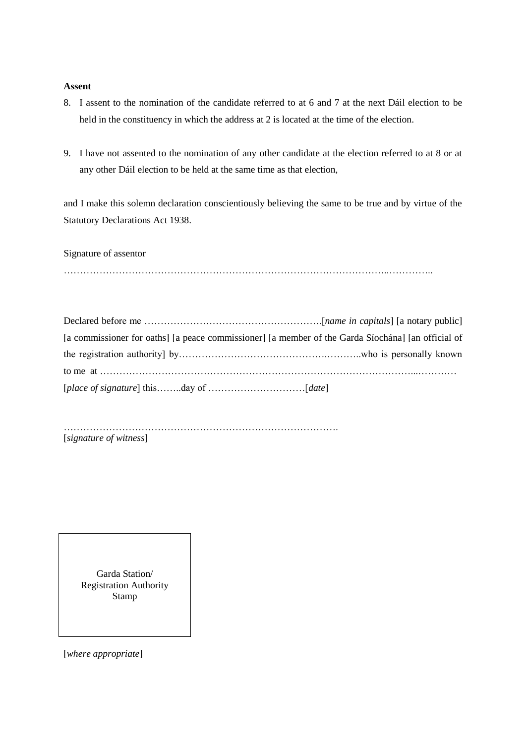## **Assent**

- 8. I assent to the nomination of the candidate referred to at 6 and 7 at the next Dáil election to be held in the constituency in which the address at 2 is located at the time of the election.
- 9. I have not assented to the nomination of any other candidate at the election referred to at 8 or at any other Dáil election to be held at the same time as that election,

and I make this solemn declaration conscientiously believing the same to be true and by virtue of the Statutory Declarations Act 1938.

Signature of assentor

………………………………………………………………………………………..…………..

| [a commissioner for oaths] [a peace commissioner] [a member of the Garda Siochána] [an official of |  |
|----------------------------------------------------------------------------------------------------|--|
|                                                                                                    |  |
|                                                                                                    |  |
|                                                                                                    |  |

…………………………………………………………………………. [*signature of witness*]

Garda Station/ Registration Authority Stamp

[*where appropriate*]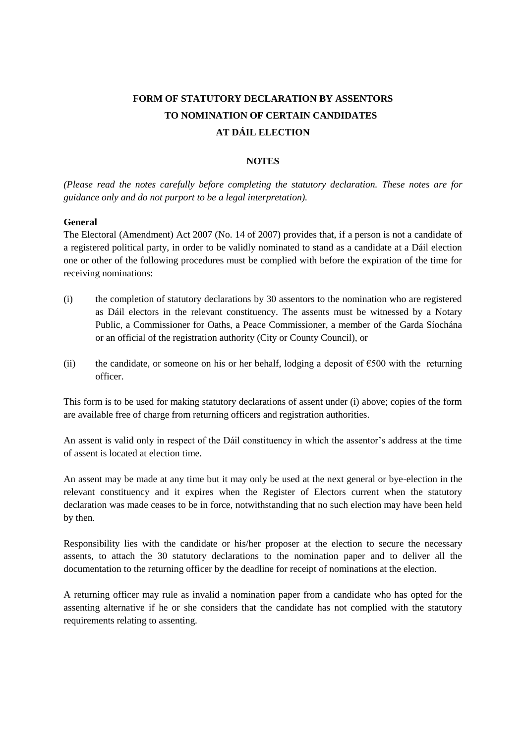## **FORM OF STATUTORY DECLARATION BY ASSENTORS TO NOMINATION OF CERTAIN CANDIDATES AT DÁIL ELECTION**

### **NOTES**

*(Please read the notes carefully before completing the statutory declaration. These notes are for guidance only and do not purport to be a legal interpretation).*

#### **General**

The Electoral (Amendment) Act 2007 (No. 14 of 2007) provides that, if a person is not a candidate of a registered political party, in order to be validly nominated to stand as a candidate at a Dáil election one or other of the following procedures must be complied with before the expiration of the time for receiving nominations:

- (i) the completion of statutory declarations by 30 assentors to the nomination who are registered as Dáil electors in the relevant constituency. The assents must be witnessed by a Notary Public, a Commissioner for Oaths, a Peace Commissioner, a member of the Garda Síochána or an official of the registration authority (City or County Council), or
- (ii) the candidate, or someone on his or her behalf, lodging a deposit of  $\epsilon$ 500 with the returning officer.

This form is to be used for making statutory declarations of assent under (i) above; copies of the form are available free of charge from returning officers and registration authorities.

An assent is valid only in respect of the Dáil constituency in which the assentor's address at the time of assent is located at election time.

An assent may be made at any time but it may only be used at the next general or bye-election in the relevant constituency and it expires when the Register of Electors current when the statutory declaration was made ceases to be in force, notwithstanding that no such election may have been held by then.

Responsibility lies with the candidate or his/her proposer at the election to secure the necessary assents, to attach the 30 statutory declarations to the nomination paper and to deliver all the documentation to the returning officer by the deadline for receipt of nominations at the election.

A returning officer may rule as invalid a nomination paper from a candidate who has opted for the assenting alternative if he or she considers that the candidate has not complied with the statutory requirements relating to assenting.